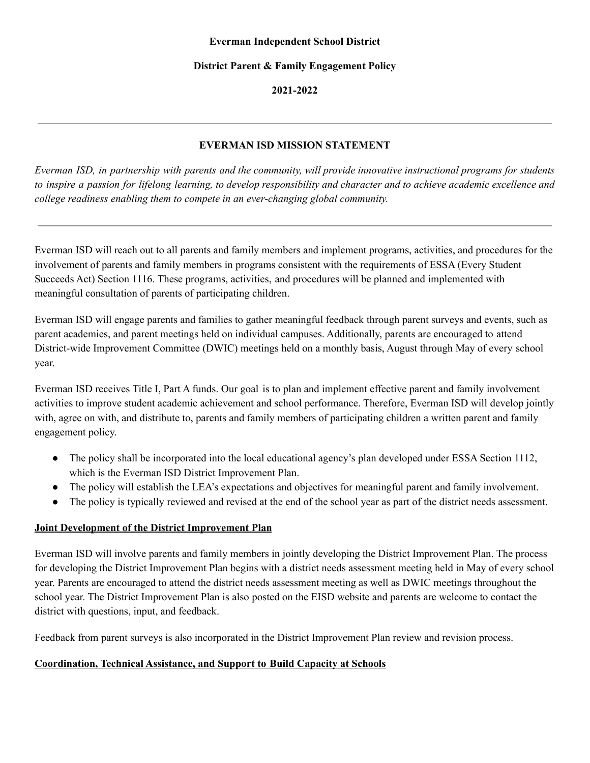#### **District Parent & Family Engagement Policy**

**2021-2022**

## **EVERMAN ISD MISSION STATEMENT**

 *college readiness enabling them to compete in an ever-changing global community.* Everman ISD, in partnership with parents and the community, will provide innovative instructional programs for students to inspire a passion for lifelong learning, to develop responsibility and character and to achieve academic excellence and

 Everman ISD will reach out to all parents and family members and implement programs, activities, and procedures for the involvement of parents and family members in programs consistent with the requirements of ESSA (Every Student Succeeds Act) Section 1116. These programs, activities, and procedures will be planned and implemented with meaningful consultation of parents of participating children.

 Everman ISD will engage parents and families to gather meaningful feedback through parent surveys and events, such as parent academies, and parent meetings held on individual campuses. Additionally, parents are encouraged to attend District-wide Improvement Committee (DWIC) meetings held on a monthly basis, August through May of every school year.

 Everman ISD receives Title I, Part A funds. Our goal is to plan and implement effective parent and family involvement activities to improve student academic achievement and school performance. Therefore, Everman ISD will develop jointly with, agree on with, and distribute to, parents and family members of participating children a written parent and family engagement policy.

- The policy shall be incorporated into the local educational agency's plan developed under ESSA Section 1112, which is the Everman ISD District Improvement Plan.
- The policy will establish the LEA's expectations and objectives for meaningful parent and family involvement.
- The policy is typically reviewed and revised at the end of the school year as part of the district needs assessment.

## **Joint Development of the District Improvement Plan**

 Everman ISD will involve parents and family members in jointly developing the District Improvement Plan. The process for developing the District Improvement Plan begins with a district needs assessment meeting held in May of every school year. Parents are encouraged to attend the district needs assessment meeting as well as DWIC meetings throughout the school year. The District Improvement Plan is also posted on the EISD website and parents are welcome to contact the district with questions, input, and feedback.

Feedback from parent surveys is also incorporated in the District Improvement Plan review and revision process.

## **Coordination, Technical Assistance, and Support to Build Capacity at Schools**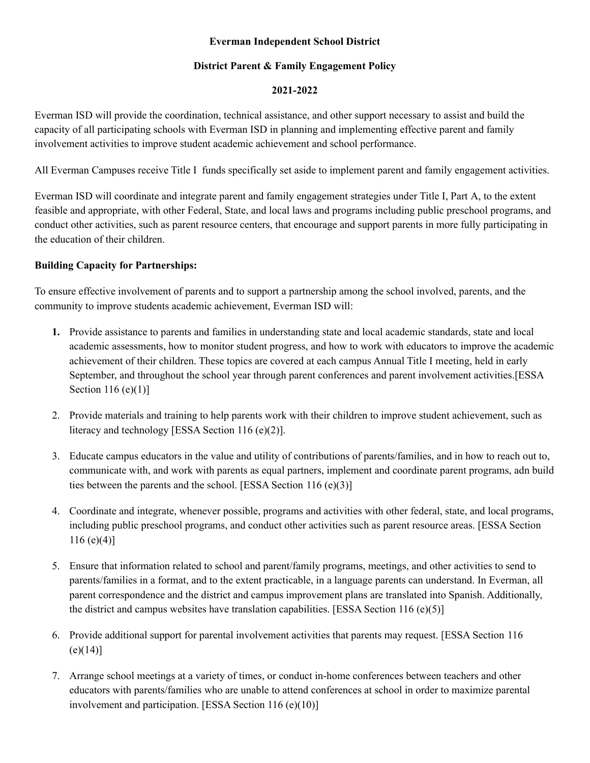## **Everman Independent School District**

## **District Parent & Family Engagement Policy**

### **2021-2022**

 Everman ISD will provide the coordination, technical assistance, and other support necessary to assist and build the capacity of all participating schools with Everman ISD in planning and implementing effective parent and family involvement activities to improve student academic achievement and school performance.

All Everman Campuses receive Title I funds specifically set aside to implement parent and family engagement activities.

 Everman ISD will coordinate and integrate parent and family engagement strategies under Title I, Part A, to the extent feasible and appropriate, with other Federal, State, and local laws and programs including public preschool programs, and conduct other activities, such as parent resource centers, that encourage and support parents in more fully participating in the education of their children.

## **Building Capacity for Partnerships:**

 To ensure effective involvement of parents and to support a partnership among the school involved, parents, and the community to improve students academic achievement, Everman ISD will:

- **1.** Provide assistance to parents and families in understanding state and local academic standards, state and local academic assessments, how to monitor student progress, and how to work with educators to improve the academic achievement of their children. These topics are covered at each campus Annual Title I meeting, held in early September, and throughout the school year through parent conferences and parent involvement activities.[ESSA Section 116 (e)(1)]
- 2. Provide materials and training to help parents work with their children to improve student achievement, such as literacy and technology [ESSA Section 116 (e)(2)].
- 3. Educate campus educators in the value and utility of contributions of parents/families, and in how to reach out to, communicate with, and work with parents as equal partners, implement and coordinate parent programs, adn build ties between the parents and the school. [ESSA Section 116 (e)(3)]
- 4. Coordinate and integrate, whenever possible, programs and activities with other federal, state, and local programs, including public preschool programs, and conduct other activities such as parent resource areas. [ESSA Section  $116 (e)(4)$ ]
- 5. Ensure that information related to school and parent/family programs, meetings, and other activities to send to parents/families in a format, and to the extent practicable, in a language parents can understand. In Everman, all parent correspondence and the district and campus improvement plans are translated into Spanish. Additionally, the district and campus websites have translation capabilities. [ESSA Section 116 (e)(5)]
- 6. Provide additional support for parental involvement activities that parents may request. [ESSA Section 116  $(e)(14)$ ]
- 7. Arrange school meetings at a variety of times, or conduct in-home conferences between teachers and other educators with parents/families who are unable to attend conferences at school in order to maximize parental involvement and participation. [ESSA Section 116 (e)(10)]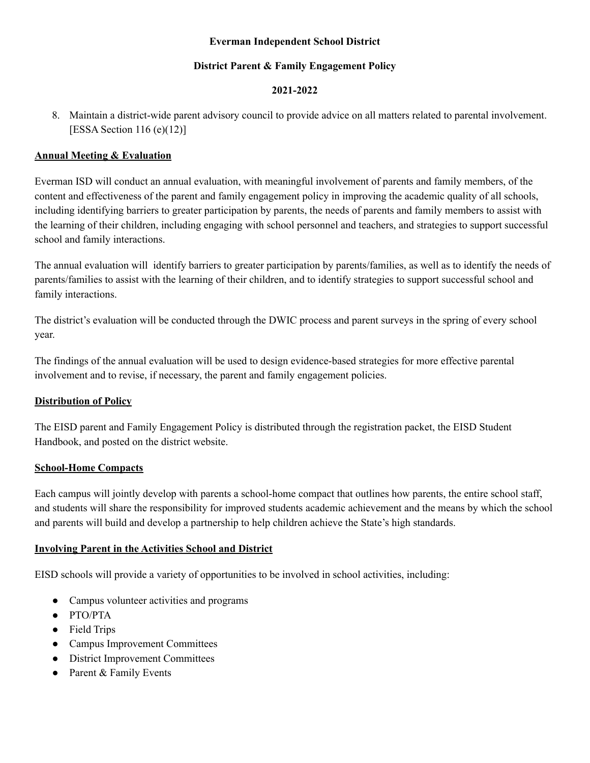### **Everman Independent School District**

## **District Parent & Family Engagement Policy**

## **2021-2022**

 8. Maintain a district-wide parent advisory council to provide advice on all matters related to parental involvement. [ESSA Section 116 (e)(12)]

## **Annual Meeting & Evaluation**

 Everman ISD will conduct an annual evaluation, with meaningful involvement of parents and family members, of the content and effectiveness of the parent and family engagement policy in improving the academic quality of all schools, including identifying barriers to greater participation by parents, the needs of parents and family members to assist with the learning of their children, including engaging with school personnel and teachers, and strategies to support successful school and family interactions.

 The annual evaluation will identify barriers to greater participation by parents/families, as well as to identify the needs of parents/families to assist with the learning of their children, and to identify strategies to support successful school and family interactions.

 The district's evaluation will be conducted through the DWIC process and parent surveys in the spring of every school year.

 The findings of the annual evaluation will be used to design evidence-based strategies for more effective parental involvement and to revise, if necessary, the parent and family engagement policies.

#### **Distribution of Policy**

 The EISD parent and Family Engagement Policy is distributed through the registration packet, the EISD Student Handbook, and posted on the district website.

#### **School-Home Compacts**

 Each campus will jointly develop with parents a school-home compact that outlines how parents, the entire school staff, and students will share the responsibility for improved students academic achievement and the means by which the school and parents will build and develop a partnership to help children achieve the State's high standards.

## **Involving Parent in the Activities School and District**

EISD schools will provide a variety of opportunities to be involved in school activities, including:

- Campus volunteer activities and programs
- PTO/PTA
- Field Trips
- Campus Improvement Committees
- District Improvement Committees
- Parent & Family Events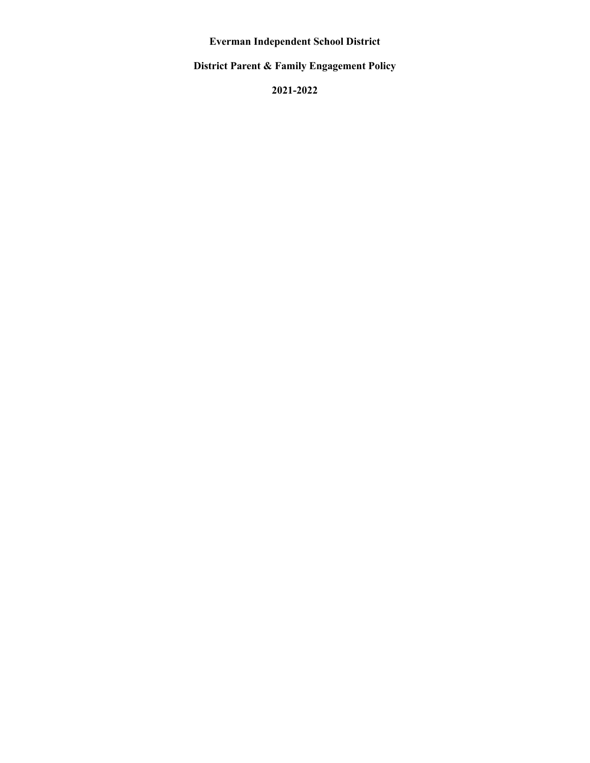**Everman Independent School District**

 **District Parent & Family Engagement Policy**

**2021-2022**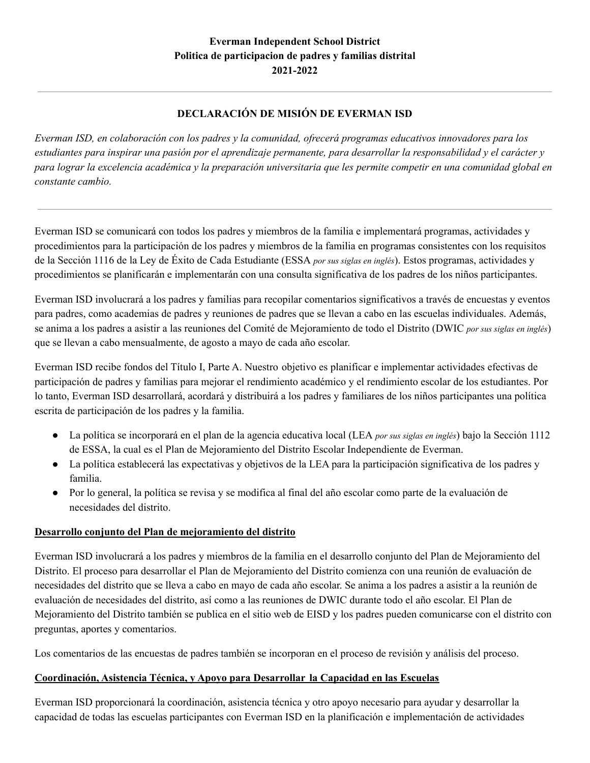# **DECLARACIÓN DE MISIÓN DE EVERMAN ISD**

Everman ISD, en colaboración con los padres y la comunidad, ofrecerá programas educativos innovadores para los estudiantes para inspirar una pasión por el aprendizaje permanente, para desarrollar la responsabilidad y el carácter y para lograr la excelencia académica y la preparación universitaria que les permite competir en una comunidad global en *constante cambio.*

 Everman ISD se comunicará con todos los padres y miembros de la familia e implementará programas, actividades y procedimientos para la participación de los padres y miembros de la familia en programas consistentes con los requisitos de la Sección 1116 de la Ley de Éxito de Cada Estudiante (ESSA *por sus siglas en inglés*). Estos programas, actividades y procedimientos se planificarán e implementarán con una consulta significativa de los padres de los niños participantes.

 Everman ISD involucrará a los padres y familias para recopilar comentarios significativos a través de encuestas y eventos para padres, como academias de padres y reuniones de padres que se llevan a cabo en las escuelas individuales. Además, se anima a los padres a asistir a las reuniones del Comité de Mejoramiento de todo el Distrito (DWIC *por sus siglas en inglés*) que se llevan a cabo mensualmente, de agosto a mayo de cada año escolar.

 Everman ISD recibe fondos del Título I, Parte A. Nuestro objetivo es planificar e implementar actividades efectivas de participación de padres y familias para mejorar el rendimiento académico y el rendimiento escolar de los estudiantes. Por lo tanto, Everman ISD desarrollará, acordará y distribuirá a los padres y familiares de los niños participantes una política escrita de participación de los padres y la familia.

- ● La política se incorporará en el plan de la agencia educativa local (LEA *por sus siglas en inglés*) bajo la Sección 1112 de ESSA, la cual es el Plan de Mejoramiento del Distrito Escolar Independiente de Everman.
- ● La política establecerá las expectativas y objetivos de la LEA para la participación significativa de los padres y familia.
- ● Por lo general, la política se revisa y se modifica al final del año escolar como parte de la evaluación de necesidades del distrito.

## **Desarrollo conjunto del Plan de mejoramiento del distrito**

 Everman ISD involucrará a los padres y miembros de la familia en el desarrollo conjunto del Plan de Mejoramiento del Distrito. El proceso para desarrollar el Plan de Mejoramiento del Distrito comienza con una reunión de evaluación de necesidades del distrito que se lleva a cabo en mayo de cada año escolar. Se anima a los padres a asistir a la reunión de evaluación de necesidades del distrito, así como a las reuniones de DWIC durante todo el año escolar. El Plan de Mejoramiento del Distrito también se publica en el sitio web de EISD y los padres pueden comunicarse con el distrito con preguntas, aportes y comentarios.

Los comentarios de las encuestas de padres también se incorporan en el proceso de revisión y análisis del proceso.

# **Coordinación, Asistencia Técnica, y Apoyo para Desarrollar la Capacidad en las Escuelas**

 Everman ISD proporcionará la coordinación, asistencia técnica y otro apoyo necesario para ayudar y desarrollar la capacidad de todas las escuelas participantes con Everman ISD en la planificación e implementación de actividades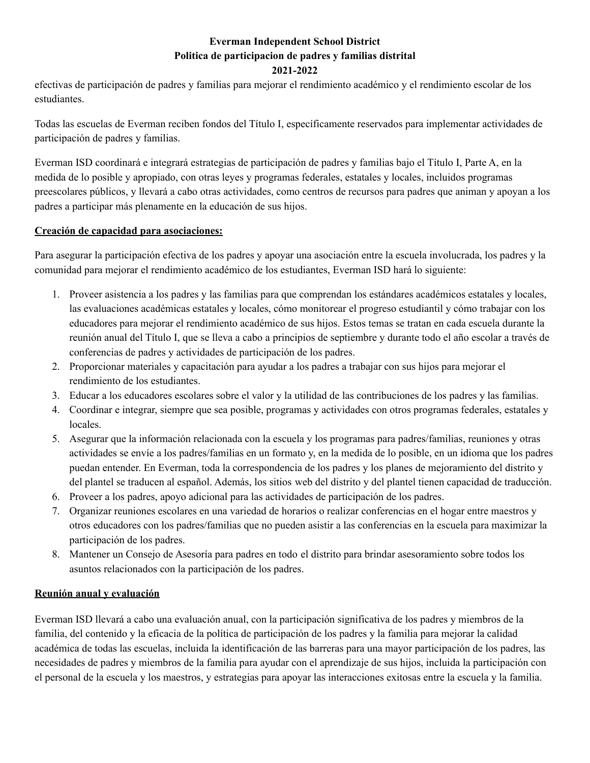## **Everman Independent School District Politica de participacion de padres y familias distrital 2021-2022**

 efectivas de participación de padres y familias para mejorar el rendimiento académico y el rendimiento escolar de los estudiantes.

 Todas las escuelas de Everman reciben fondos del Título I, específicamente reservados para implementar actividades de participación de padres y familias.

 Everman ISD coordinará e integrará estrategias de participación de padres y familias bajo el Título I, Parte A, en la medida de lo posible y apropiado, con otras leyes y programas federales, estatales y locales, incluidos programas preescolares públicos, y llevará a cabo otras actividades, como centros de recursos para padres que animan y apoyan a los padres a participar más plenamente en la educación de sus hijos.

## **Creación de capacidad para asociaciones:**

 Para asegurar la participación efectiva de los padres y apoyar una asociación entre la escuela involucrada, los padres y la comunidad para mejorar el rendimiento académico de los estudiantes, Everman ISD hará lo siguiente:

- 1. Proveer asistencia a los padres y las familias para que comprendan los estándares académicos estatales y locales, las evaluaciones académicas estatales y locales, cómo monitorear el progreso estudiantil y cómo trabajar con los educadores para mejorar el rendimiento académico de sus hijos. Estos temas se tratan en cada escuela durante la reunión anual del Título I, que se lleva a cabo a principios de septiembre y durante todo el año escolar a través de conferencias de padres y actividades de participación de los padres.
- 2. Proporcionar materiales y capacitación para ayudar a los padres a trabajar con sus hijos para mejorar el rendimiento de los estudiantes.
- 3. Educar a los educadores escolares sobre el valor y la utilidad de las contribuciones de los padres y las familias.
- 4. Coordinar e integrar, siempre que sea posible, programas y actividades con otros programas federales, estatales y locales.
- 5. Asegurar que la información relacionada con la escuela y los programas para padres/familias, reuniones y otras actividades se envíe a los padres/familias en un formato y, en la medida de lo posible, en un idioma que los padres puedan entender. En Everman, toda la correspondencia de los padres y los planes de mejoramiento del distrito y del plantel se traducen al español. Además, los sitios web del distrito y del plantel tienen capacidad de traducción.
- 6. Proveer a los padres, apoyo adicional para las actividades de participación de los padres.
- 7. Organizar reuniones escolares en una variedad de horarios o realizar conferencias en el hogar entre maestros y otros educadores con los padres/familias que no pueden asistir a las conferencias en la escuela para maximizar la participación de los padres.
- 8. Mantener un Consejo de Asesoría para padres en todo el distrito para brindar asesoramiento sobre todos los asuntos relacionados con la participación de los padres.

## **Reunión anual y evaluación**

 Everman ISD llevará a cabo una evaluación anual, con la participación significativa de los padres y miembros de la familia, del contenido y la eficacia de la política de participación de los padres y la familia para mejorar la calidad académica de todas las escuelas, incluida la identificación de las barreras para una mayor participación de los padres, las necesidades de padres y miembros de la familia para ayudar con el aprendizaje de sus hijos, incluida la participación con el personal de la escuela y los maestros, y estrategias para apoyar las interacciones exitosas entre la escuela y la familia.